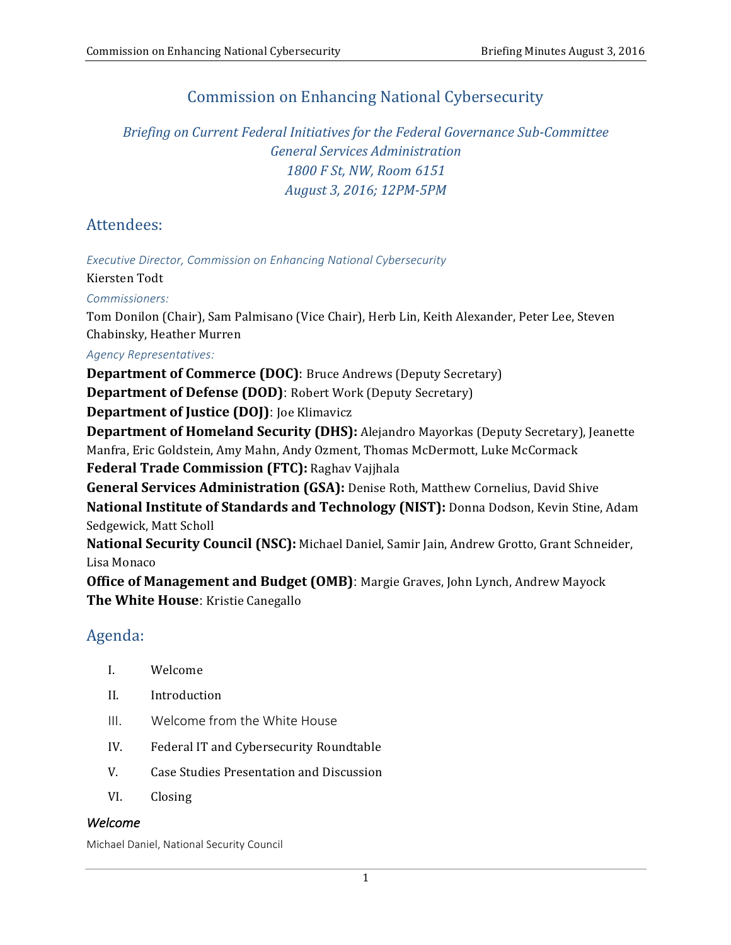# **Commission on Enhancing National Cybersecurity**

 *Briefing on Current Federal Initiatives for the Federal Governance Sub-Committee General Services Administration 1800 F St, NW, Room 6151 August 3, 2016; 12PM-5PM*

## Attendees:

**Executive Director, Commission on Enhancing National Cybersecurity** 

Kiersten Todt

*Commissioners:*

Tom Donilon (Chair), Sam Palmisano (Vice Chair), Herb Lin, Keith Alexander, Peter Lee, Steven Chabinsky, Heather Murren

*Agency Representatives:*

**Department of Commerce (DOC)**: Bruce Andrews (Deputy Secretary)

**Department of Defense (DOD)**: Robert Work (Deputy Secretary)

 **Department of Justice (DOJ)**: Joe Klimavicz

**Department of Homeland Security (DHS):** Alejandro Mayorkas (Deputy Secretary), Jeanette Manfra, Eric Goldstein, Amy Mahn, Andy Ozment, Thomas McDermott, Luke McCormack  **Federal Trade Commission (FTC):** Raghav Vajjhala

 **General Services Administration (GSA):** Denise Roth, Matthew Cornelius, David Shive **National Institute of Standards and Technology (NIST):** Donna Dodson, Kevin Stine, Adam

 Sedgewick, Matt Scholl

**National Security Council (NSC):** Michael Daniel, Samir Jain, Andrew Grotto, Grant Schneider, Lisa Monaco

**Office of Management and Budget (OMB)**: Margie Graves, John Lynch, Andrew Mayock  **The White House**: Kristie Canegallo

## Agenda:

- I. Welcome
- II. Introduction
- III. Welcome from the White House
- IV. Federal IT and Cybersecurity Roundtable
- V. Case Studies Presentation and Discussion
- VI. Closing

#### *Welcome*

 Michael Daniel, National Security Council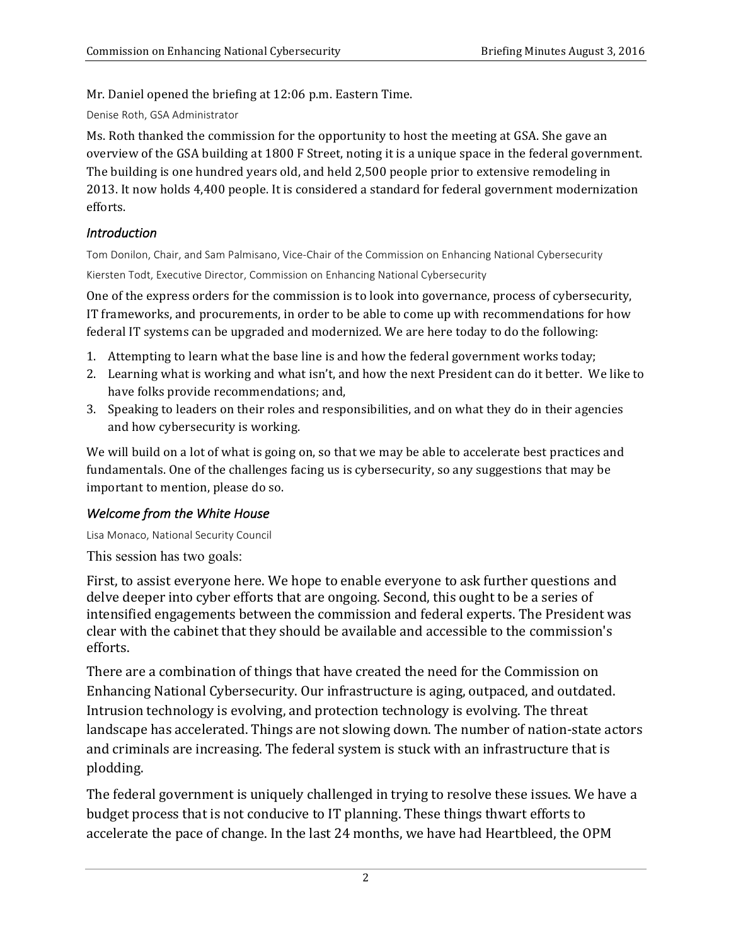Mr. Daniel opened the briefing at 12:06 p.m. Eastern Time.

 Denise Roth, GSA Administrator

 Ms. Roth thanked the commission for the opportunity to host the meeting at GSA. She gave an overview of the GSA building at 1800 F Street, noting it is a unique space in the federal government. The building is one hundred years old, and held 2,500 people prior to extensive remodeling in 2013. It now holds 4,400 people. It is considered a standard for federal government modernization efforts.

## *Introduction*

Tom Donilon, Chair, and Sam Palmisano, Vice-Chair of the Commission on Enhancing National Cybersecurity Kiersten Todt, Executive Director, Commission on Enhancing National Cybersecurity

 One of the express orders for the commission is to look into governance, process of cybersecurity, IT frameworks, and procurements, in order to be able to come up with recommendations for how federal IT systems can be upgraded and modernized. We are here today to do the following:

- 1. Attempting to learn what the base line is and how the federal government works today;
- 2. Learning what is working and what isn't, and how the next President can do it better. We like to have folks provide recommendations; and,
- 3. Speaking to leaders on their roles and responsibilities, and on what they do in their agencies and how cybersecurity is working.

We will build on a lot of what is going on, so that we may be able to accelerate best practices and fundamentals. One of the challenges facing us is cybersecurity, so any suggestions that may be important to mention, please do so.

## **Welcome from the White House**

Lisa Monaco, National Security Council

This session has two goals:

 intensified engagements between the commission and federal experts. The President was clear with the cabinet that they should be available and accessible to the commission's First, to assist everyone here. We hope to enable everyone to ask further questions and delve deeper into cyber efforts that are ongoing. Second, this ought to be a series of efforts.

 There are a combination of things that have created the need for the Commission on landscape has accelerated. Things are not slowing down. The number of nation-state actors and criminals are increasing. The federal system is stuck with an infrastructure that is Enhancing National Cybersecurity. Our infrastructure is aging, outpaced, and outdated. Intrusion technology is evolving, and protection technology is evolving. The threat plodding. 

budget process that is not conducive to IT planning. These things thwart efforts to accelerate the pace of change. In the last 24 months, we have had Heartbleed, the OPM The federal government is uniquely challenged in trying to resolve these issues. We have a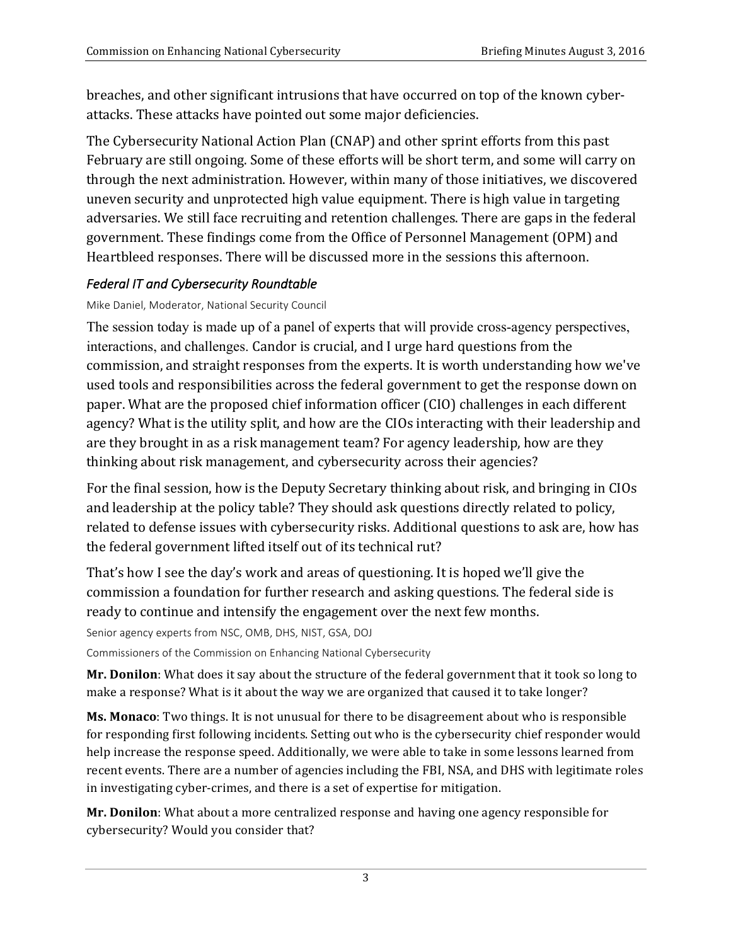attacks. These attacks have pointed out some major deficiencies. breaches, and other significant intrusions that have occurred on top of the known cyber-

The Cybersecurity National Action Plan (CNAP) and other sprint efforts from this past February are still ongoing. Some of these efforts will be short term, and some will carry on through the next administration. However, within many of those initiatives, we discovered uneven security and unprotected high value equipment. There is high value in targeting government. These findings come from the Office of Personnel Management (OPM) and Heartbleed responses. There will be discussed more in the sessions this afternoon. adversaries. We still face recruiting and retention challenges. There are gaps in the federal

## *Federal IT and Cybersecurity Roundtable*

### Mike Daniel, Moderator, National Security Council

interactions, and challenges. Candor is crucial, and I urge hard questions from the commission, and straight responses from the experts. It is worth understanding how we've used tools and responsibilities across the federal government to get the response down on paper. What are the proposed chief information officer (CIO) challenges in each different are they brought in as a risk management team? For agency leadership, how are they thinking about risk management, and cybersecurity across their agencies? The session today is made up of a panel of experts that will provide cross-agency perspectives, agency? What is the utility split, and how are the CIOs interacting with their leadership and

related to defense issues with cybersecurity risks. Additional questions to ask are, how has the federal government lifted itself out of its technical rut? For the final session, how is the Deputy Secretary thinking about risk, and bringing in CIOs and leadership at the policy table? They should ask questions directly related to policy,

commission a foundation for further research and asking questions. The federal side is ready to continue and intensify the engagement over the next few months. That's how I see the day's work and areas of questioning. It is hoped we'll give the

Senior agency experts from NSC, OMB, DHS, NIST, GSA, DOJ

 Commissioners of the Commission on Enhancing National Cybersecurity

Mr. Donilon: What does it say about the structure of the federal government that it took so long to make a response? What is it about the way we are organized that caused it to take longer?

for responding first following incidents. Setting out who is the cybersecurity chief responder would help increase the response speed. Additionally, we were able to take in some lessons learned from recent events. There are a number of agencies including the FBI, NSA, and DHS with legitimate roles in investigating cyber-crimes, and there is a set of expertise for mitigation. **Ms. Monaco**: Two things. It is not unusual for there to be disagreement about who is responsible

**Mr. Donilon**: What about a more centralized response and having one agency responsible for cybersecurity? Would you consider that?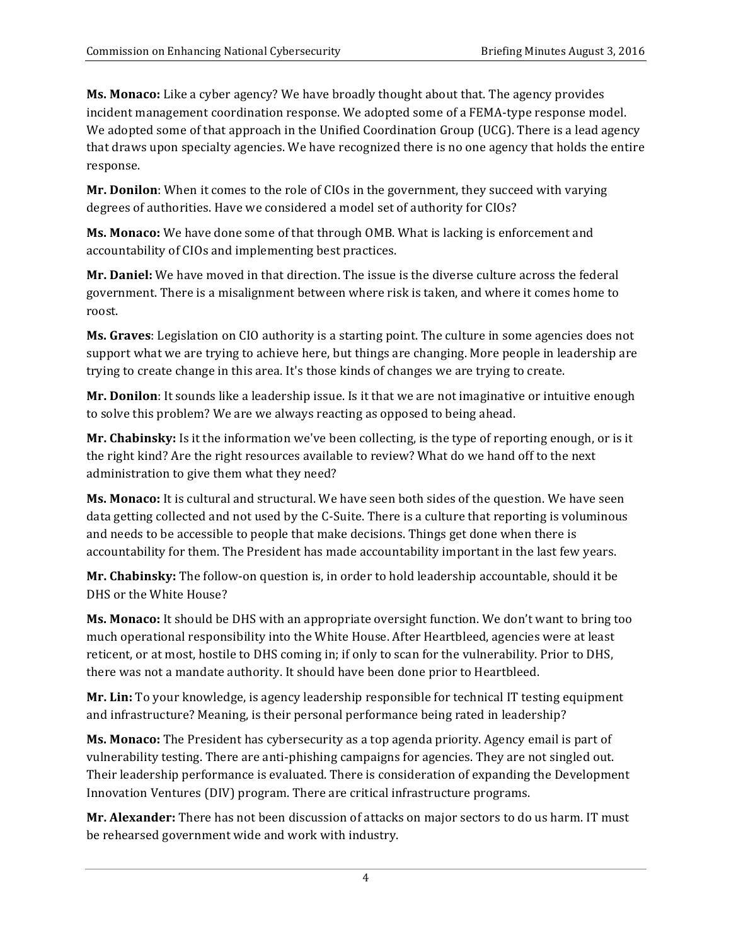**Ms. Monaco:** Like a cyber agency? We have broadly thought about that. The agency provides incident management coordination response. We adopted some of a FEMA-type response model. We adopted some of that approach in the Unified Coordination Group (UCG). There is a lead agency that draws upon specialty agencies. We have recognized there is no one agency that holds the entire response.

Mr. Donilon: When it comes to the role of CIOs in the government, they succeed with varying degrees of authorities. Have we considered a model set of authority for CIOs?

**Ms. Monaco:** We have done some of that through OMB. What is lacking is enforcement and accountability of CIOs and implementing best practices.

 **Mr. Daniel:** We have moved in that direction. The issue is the diverse culture across the federal government. There is a misalignment between where risk is taken, and where it comes home to roost.

**Ms. Graves**: Legislation on CIO authority is a starting point. The culture in some agencies does not support what we are trying to achieve here, but things are changing. More people in leadership are trying to create change in this area. It's those kinds of changes we are trying to create.

**Mr. Donilon**: It sounds like a leadership issue. Is it that we are not imaginative or intuitive enough to solve this problem? We are we always reacting as opposed to being ahead.

**Mr. Chabinsky:** Is it the information we've been collecting, is the type of reporting enough, or is it the right kind? Are the right resources available to review? What do we hand off to the next administration to give them what they need?

**Ms. Monaco:** It is cultural and structural. We have seen both sides of the question. We have seen data getting collected and not used by the C-Suite. There is a culture that reporting is voluminous and needs to be accessible to people that make decisions. Things get done when there is accountability for them. The President has made accountability important in the last few years.

Mr. Chabinsky: The follow-on question is, in order to hold leadership accountable, should it be DHS or the White House?

**Ms. Monaco:** It should be DHS with an appropriate oversight function. We don't want to bring too much operational responsibility into the White House. After Heartbleed, agencies were at least reticent, or at most, hostile to DHS coming in; if only to scan for the vulnerability. Prior to DHS, there was not a mandate authority. It should have been done prior to Heartbleed.

**Mr. Lin:** To your knowledge, is agency leadership responsible for technical IT testing equipment and infrastructure? Meaning, is their personal performance being rated in leadership? 

 **Ms. Monaco:** The President has cybersecurity as a top agenda priority. Agency email is part of vulnerability testing. There are anti-phishing campaigns for agencies. They are not singled out. Their leadership performance is evaluated. There is consideration of expanding the Development Innovation Ventures (DIV) program. There are critical infrastructure programs.

**Mr. Alexander:** There has not been discussion of attacks on major sectors to do us harm. IT must be rehearsed government wide and work with industry.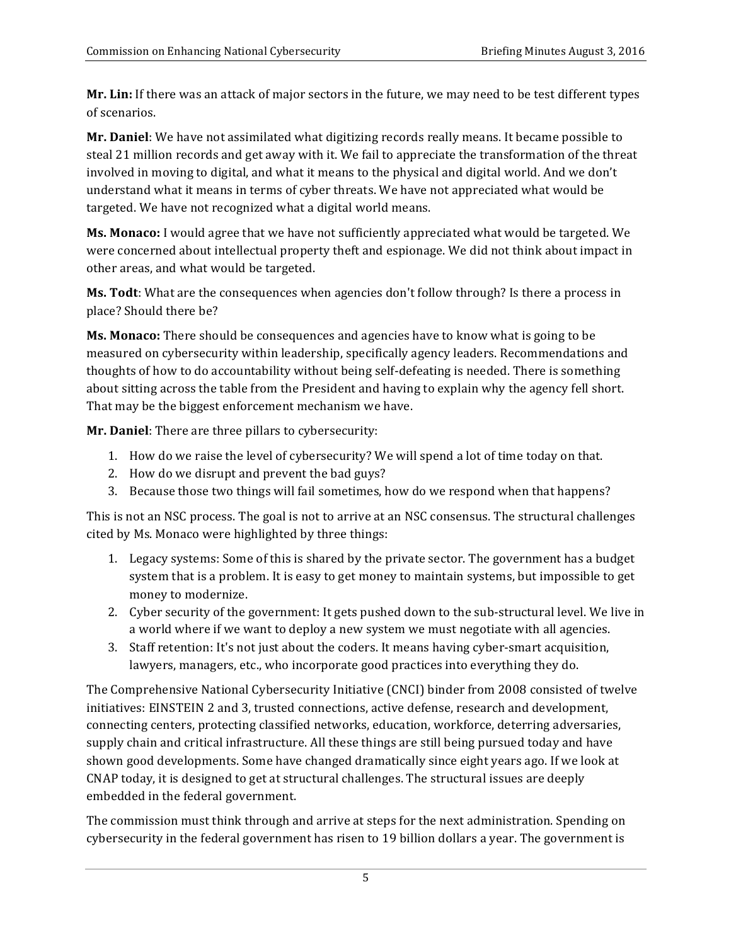Mr. Lin: If there was an attack of major sectors in the future, we may need to be test different types of scenarios.

steal 21 million records and get away with it. We fail to appreciate the transformation of the threat involved in moving to digital, and what it means to the physical and digital world. And we don't understand what it means in terms of cyber threats. We have not appreciated what would be targeted. We have not recognized what a digital world means. Mr. Daniel: We have not assimilated what digitizing records really means. It became possible to

**Ms. Monaco:** I would agree that we have not sufficiently appreciated what would be targeted. We were concerned about intellectual property theft and espionage. We did not think about impact in other areas, and what would be targeted.

 **Ms. Todt**: What are the consequences when agencies don't follow through? Is there a process in place? Should there be?

**Ms. Monaco:** There should be consequences and agencies have to know what is going to be measured on cybersecurity within leadership, specifically agency leaders. Recommendations and thoughts of how to do accountability without being self-defeating is needed. There is something about sitting across the table from the President and having to explain why the agency fell short. That may be the biggest enforcement mechanism we have.

**Mr. Daniel:** There are three pillars to cybersecurity:

- 1. How do we raise the level of cybersecurity? We will spend a lot of time today on that.
- 2. How do we disrupt and prevent the bad guys?
- 3. Because those two things will fail sometimes, how do we respond when that happens?

This is not an NSC process. The goal is not to arrive at an NSC consensus. The structural challenges cited by Ms. Monaco were highlighted by three things:

- 1. Legacy systems: Some of this is shared by the private sector. The government has a budget system that is a problem. It is easy to get money to maintain systems, but impossible to get money to modernize.
- 2. Cyber security of the government: It gets pushed down to the sub-structural level. We live in a world where if we want to deploy a new system we must negotiate with all agencies.
- lawyers, managers, etc., who incorporate good practices into everything they do. 3. Staff retention: It's not just about the coders. It means having cyber-smart acquisition,

The Comprehensive National Cybersecurity Initiative (CNCI) binder from 2008 consisted of twelve connecting centers, protecting classified networks, education, workforce, deterring adversaries, supply chain and critical infrastructure. All these things are still being pursued today and have shown good developments. Some have changed dramatically since eight years ago. If we look at CNAP today, it is designed to get at structural challenges. The structural issues are deeply embedded in the federal government. initiatives: EINSTEIN 2 and 3, trusted connections, active defense, research and development,

The commission must think through and arrive at steps for the next administration. Spending on cybersecurity in the federal government has risen to 19 billion dollars a year. The government is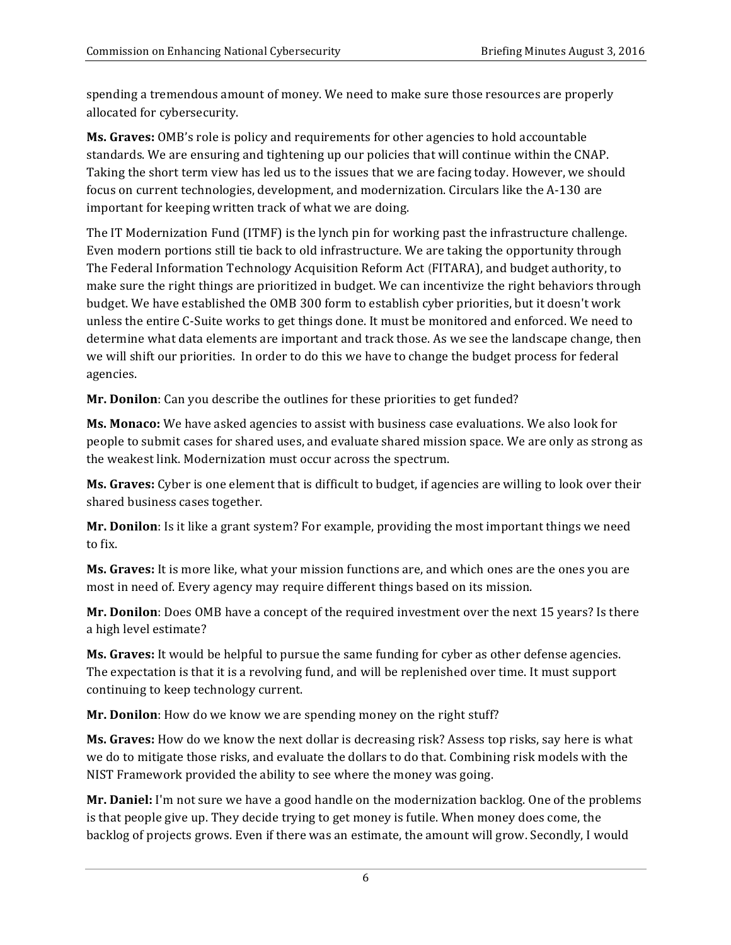spending a tremendous amount of money. We need to make sure those resources are properly allocated for cybersecurity.

**Ms. Graves:** OMB's role is policy and requirements for other agencies to hold accountable standards. We are ensuring and tightening up our policies that will continue within the CNAP. Taking the short term view has led us to the issues that we are facing today. However, we should focus on current technologies, development, and modernization. Circulars like the A-130 are important for keeping written track of what we are doing.

The IT Modernization Fund (ITMF) is the lynch pin for working past the infrastructure challenge. Even modern portions still tie back to old infrastructure. We are taking the opportunity through The Federal Information Technology Acquisition Reform Act **(**FITARA), and budget authority, to make sure the right things are prioritized in budget. We can incentivize the right behaviors through budget. We have established the OMB 300 form to establish cyber priorities, but it doesn't work unless the entire C-Suite works to get things done. It must be monitored and enforced. We need to determine what data elements are important and track those. As we see the landscape change, then we will shift our priorities. In order to do this we have to change the budget process for federal agencies.

**Mr. Donilon**: Can you describe the outlines for these priorities to get funded?

**Ms. Monaco:** We have asked agencies to assist with business case evaluations. We also look for people to submit cases for shared uses, and evaluate shared mission space. We are only as strong as the weakest link. Modernization must occur across the spectrum.

**Ms. Graves:** Cyber is one element that is difficult to budget, if agencies are willing to look over their shared business cases together.

Mr. Donilon: Is it like a grant system? For example, providing the most important things we need to fix.

**Ms. Graves:** It is more like, what your mission functions are, and which ones are the ones you are most in need of. Every agency may require different things based on its mission.

**Mr. Donilon**: Does OMB have a concept of the required investment over the next 15 years? Is there a high level estimate?

**Ms. Graves:** It would be helpful to pursue the same funding for cyber as other defense agencies. The expectation is that it is a revolving fund, and will be replenished over time. It must support continuing to keep technology current.

**Mr. Donilon**: How do we know we are spending money on the right stuff?

 **Ms. Graves:** How do we know the next dollar is decreasing risk? Assess top risks, say here is what we do to mitigate those risks, and evaluate the dollars to do that. Combining risk models with the NIST Framework provided the ability to see where the money was going.

**Mr. Daniel:** I'm not sure we have a good handle on the modernization backlog. One of the problems is that people give up. They decide trying to get money is futile. When money does come, the backlog of projects grows. Even if there was an estimate, the amount will grow. Secondly, I would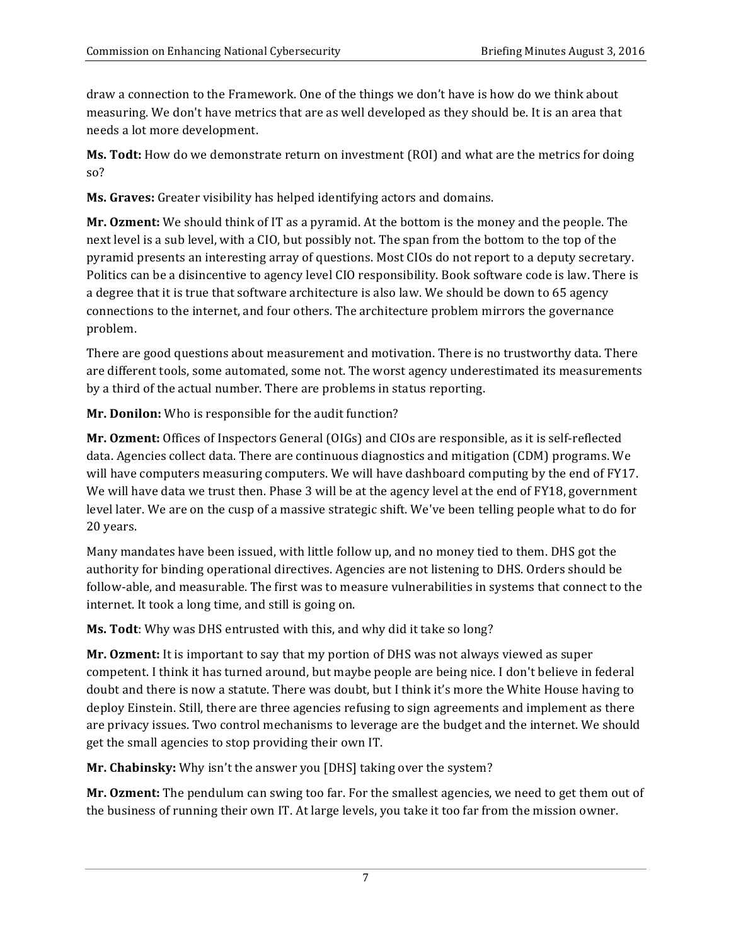draw a connection to the Framework. One of the things we don't have is how do we think about measuring. We don't have metrics that are as well developed as they should be. It is an area that needs a lot more development.

**Ms. Todt:** How do we demonstrate return on investment (ROI) and what are the metrics for doing so?

 **Ms. Graves:** Greater visibility has helped identifying actors and domains.

**Mr. Ozment:** We should think of IT as a pyramid. At the bottom is the money and the people. The next level is a sub level, with a CIO, but possibly not. The span from the bottom to the top of the pyramid presents an interesting array of questions. Most CIOs do not report to a deputy secretary. Politics can be a disincentive to agency level CIO responsibility. Book software code is law. There is a degree that it is true that software architecture is also law. We should be down to 65 agency connections to the internet, and four others. The architecture problem mirrors the governance problem.

 There are good questions about measurement and motivation. There is no trustworthy data. There are different tools, some automated, some not. The worst agency underestimated its measurements by a third of the actual number. There are problems in status reporting.

 **Mr. Donilon:** Who is responsible for the audit function?

 **Mr. Ozment:** Offices of Inspectors General (OIGs) and CIOs are responsible, as it is self-reflected data. Agencies collect data. There are continuous diagnostics and mitigation (CDM) programs. We will have computers measuring computers. We will have dashboard computing by the end of FY17. We will have data we trust then. Phase 3 will be at the agency level at the end of FY18, government level later. We are on the cusp of a massive strategic shift. We've been telling people what to do for 20 years.

Many mandates have been issued, with little follow up, and no money tied to them. DHS got the authority for binding operational directives. Agencies are not listening to DHS. Orders should be internet. It took a long time, and still is going on. follow-able, and measurable. The first was to measure vulnerabilities in systems that connect to the

**Ms. Todt**: Why was DHS entrusted with this, and why did it take so long?

**Mr. Ozment:** It is important to say that my portion of DHS was not always viewed as super competent. I think it has turned around, but maybe people are being nice. I don't believe in federal doubt and there is now a statute. There was doubt, but I think it's more the White House having to deploy Einstein. Still, there are three agencies refusing to sign agreements and implement as there are privacy issues. Two control mechanisms to leverage are the budget and the internet. We should get the small agencies to stop providing their own IT.

**Mr. Chabinsky:** Why isn't the answer you [DHS] taking over the system?

Mr. Ozment: The pendulum can swing too far. For the smallest agencies, we need to get them out of the business of running their own IT. At large levels, you take it too far from the mission owner.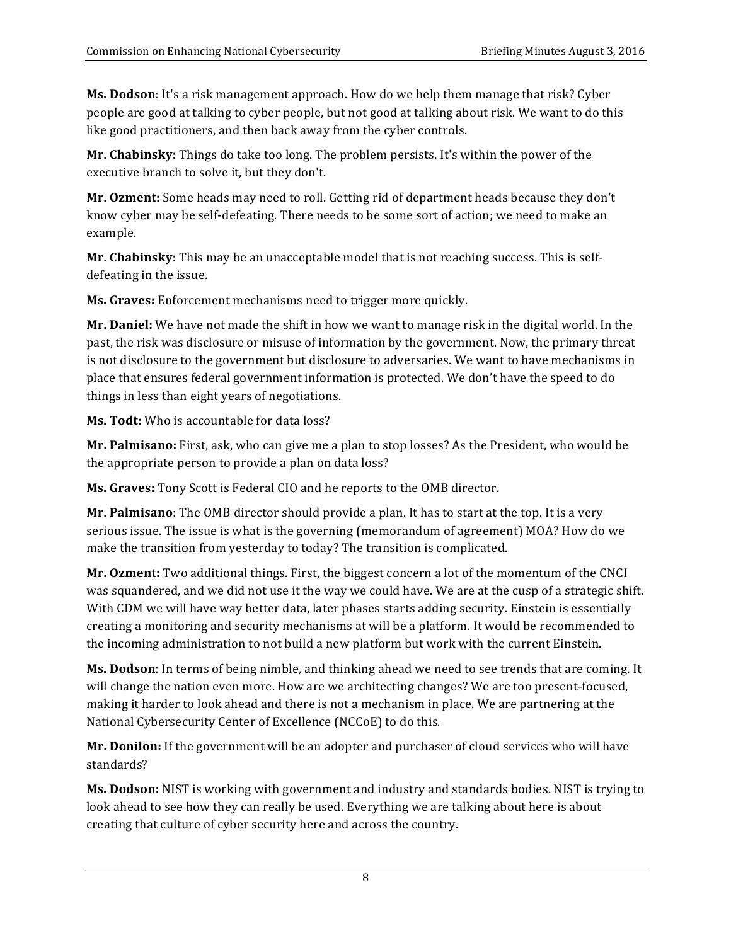people are good at talking to cyber people, but not good at talking about risk. We want to do this like good practitioners, and then back away from the cyber controls. **Ms. Dodson**: It's a risk management approach. How do we help them manage that risk? Cyber

**Mr. Chabinsky:** Things do take too long. The problem persists. It's within the power of the executive branch to solve it, but they don't.

Mr. Ozment: Some heads may need to roll. Getting rid of department heads because they don't know cyber may be self-defeating. There needs to be some sort of action; we need to make an example.

**Mr. Chabinsky:** This may be an unacceptable model that is not reaching success. This is self- defeating in the issue.

 **Ms. Graves:** Enforcement mechanisms need to trigger more quickly.

**Mr. Daniel:** We have not made the shift in how we want to manage risk in the digital world. In the past, the risk was disclosure or misuse of information by the government. Now, the primary threat is not disclosure to the government but disclosure to adversaries. We want to have mechanisms in place that ensures federal government information is protected. We don't have the speed to do things in less than eight years of negotiations.

 **Ms. Todt:** Who is accountable for data loss?

**Mr. Palmisano:** First, ask, who can give me a plan to stop losses? As the President, who would be the appropriate person to provide a plan on data loss?

 **Ms. Graves:** Tony Scott is Federal CIO and he reports to the OMB director.

 **Mr. Palmisano**: The OMB director should provide a plan. It has to start at the top. It is a very serious issue. The issue is what is the governing (memorandum of agreement) MOA? How do we make the transition from yesterday to today? The transition is complicated.

**Mr. Ozment:** Two additional things. First, the biggest concern a lot of the momentum of the CNCI was squandered, and we did not use it the way we could have. We are at the cusp of a strategic shift. With CDM we will have way better data, later phases starts adding security. Einstein is essentially creating a monitoring and security mechanisms at will be a platform. It would be recommended to the incoming administration to not build a new platform but work with the current Einstein.

Ms. Dodson: In terms of being nimble, and thinking ahead we need to see trends that are coming. It will change the nation even more. How are we architecting changes? We are too present-focused, making it harder to look ahead and there is not a mechanism in place. We are partnering at the National Cybersecurity Center of Excellence (NCCoE) to do this.

Mr. Donilon: If the government will be an adopter and purchaser of cloud services who will have standards?

 **Ms. Dodson:** NIST is working with government and industry and standards bodies. NIST is trying to look ahead to see how they can really be used. Everything we are talking about here is about creating that culture of cyber security here and across the country.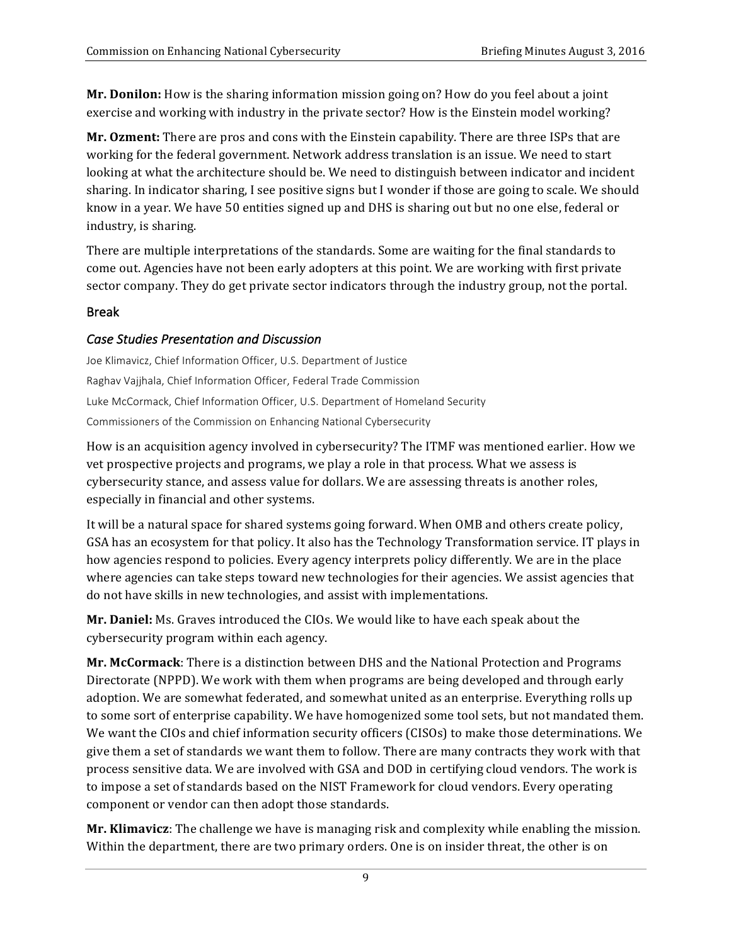**Mr. Donilon:** How is the sharing information mission going on? How do you feel about a joint exercise and working with industry in the private sector? How is the Einstein model working?

Mr. Ozment: There are pros and cons with the Einstein capability. There are three ISPs that are working for the federal government. Network address translation is an issue. We need to start looking at what the architecture should be. We need to distinguish between indicator and incident sharing. In indicator sharing, I see positive signs but I wonder if those are going to scale. We should know in a year. We have 50 entities signed up and DHS is sharing out but no one else, federal or industry, is sharing.

There are multiple interpretations of the standards. Some are waiting for the final standards to come out. Agencies have not been early adopters at this point. We are working with first private sector company. They do get private sector indicators through the industry group, not the portal.

#### Break

### *Case Studies Presentation and Discussion*

Joe Klimavicz, Chief Information Officer, U.S. Department of Justice Raghav Vajjhala, Chief Information Officer, Federal Trade Commission Luke McCormack, Chief Information Officer, U.S. Department of Homeland Security Commissioners of the Commission on Enhancing National Cybersecurity

 How is an acquisition agency involved in cybersecurity? The ITMF was mentioned earlier. How we vet prospective projects and programs, we play a role in that process. What we assess is cybersecurity stance, and assess value for dollars. We are assessing threats is another roles, especially in financial and other systems.

It will be a natural space for shared systems going forward. When OMB and others create policy, GSA has an ecosystem for that policy. It also has the Technology Transformation service. IT plays in how agencies respond to policies. Every agency interprets policy differently. We are in the place where agencies can take steps toward new technologies for their agencies. We assist agencies that do not have skills in new technologies, and assist with implementations.

 **Mr. Daniel:** Ms. Graves introduced the CIOs. We would like to have each speak about the cybersecurity program within each agency.

**Mr. McCormack**: There is a distinction between DHS and the National Protection and Programs adoption. We are somewhat federated, and somewhat united as an enterprise. Everything rolls up to some sort of enterprise capability. We have homogenized some tool sets, but not mandated them. We want the CIOs and chief information security officers (CISOs) to make those determinations. We give them a set of standards we want them to follow. There are many contracts they work with that process sensitive data. We are involved with GSA and DOD in certifying cloud vendors. The work is to impose a set of standards based on the NIST Framework for cloud vendors. Every operating component or vendor can then adopt those standards. Directorate (NPPD). We work with them when programs are being developed and through early

 **Mr. Klimavicz**: The challenge we have is managing risk and complexity while enabling the mission. Within the department, there are two primary orders. One is on insider threat, the other is on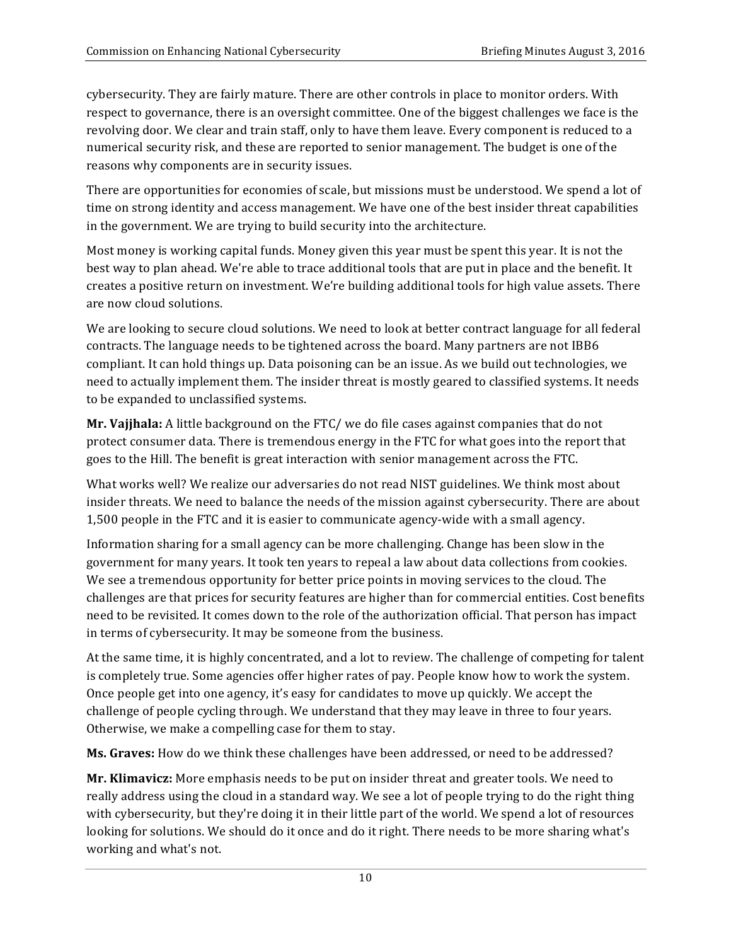cybersecurity. They are fairly mature. There are other controls in place to monitor orders. With respect to governance, there is an oversight committee. One of the biggest challenges we face is the revolving door. We clear and train staff, only to have them leave. Every component is reduced to a numerical security risk, and these are reported to senior management. The budget is one of the reasons why components are in security issues.

 There are opportunities for economies of scale, but missions must be understood. We spend a lot of time on strong identity and access management. We have one of the best insider threat capabilities in the government. We are trying to build security into the architecture.

 Most money is working capital funds. Money given this year must be spent this year. It is not the best way to plan ahead. We're able to trace additional tools that are put in place and the benefit. It creates a positive return on investment. We're building additional tools for high value assets. There are now cloud solutions.

We are looking to secure cloud solutions. We need to look at better contract language for all federal contracts. The language needs to be tightened across the board. Many partners are not IBB6 compliant. It can hold things up. Data poisoning can be an issue. As we build out technologies, we need to actually implement them. The insider threat is mostly geared to classified systems. It needs to be expanded to unclassified systems.

**Mr. Vajjhala:** A little background on the FTC/ we do file cases against companies that do not protect consumer data. There is tremendous energy in the FTC for what goes into the report that goes to the Hill. The benefit is great interaction with senior management across the FTC.

 What works well? We realize our adversaries do not read NIST guidelines. We think most about insider threats. We need to balance the needs of the mission against cybersecurity. There are about 1,500 people in the FTC and it is easier to communicate agency-wide with a small agency.

 Information sharing for a small agency can be more challenging. Change has been slow in the government for many years. It took ten years to repeal a law about data collections from cookies. We see a tremendous opportunity for better price points in moving services to the cloud. The challenges are that prices for security features are higher than for commercial entities. Cost benefits need to be revisited. It comes down to the role of the authorization official. That person has impact in terms of cybersecurity. It may be someone from the business.

At the same time, it is highly concentrated, and a lot to review. The challenge of competing for talent is completely true. Some agencies offer higher rates of pay. People know how to work the system. Once people get into one agency, it's easy for candidates to move up quickly. We accept the challenge of people cycling through. We understand that they may leave in three to four years. Otherwise, we make a compelling case for them to stay.

 **Ms. Graves:** How do we think these challenges have been addressed, or need to be addressed?

Mr. Klimavicz: More emphasis needs to be put on insider threat and greater tools. We need to really address using the cloud in a standard way. We see a lot of people trying to do the right thing looking for solutions. We should do it once and do it right. There needs to be more sharing what's working and what's not. with cybersecurity, but they're doing it in their little part of the world. We spend a lot of resources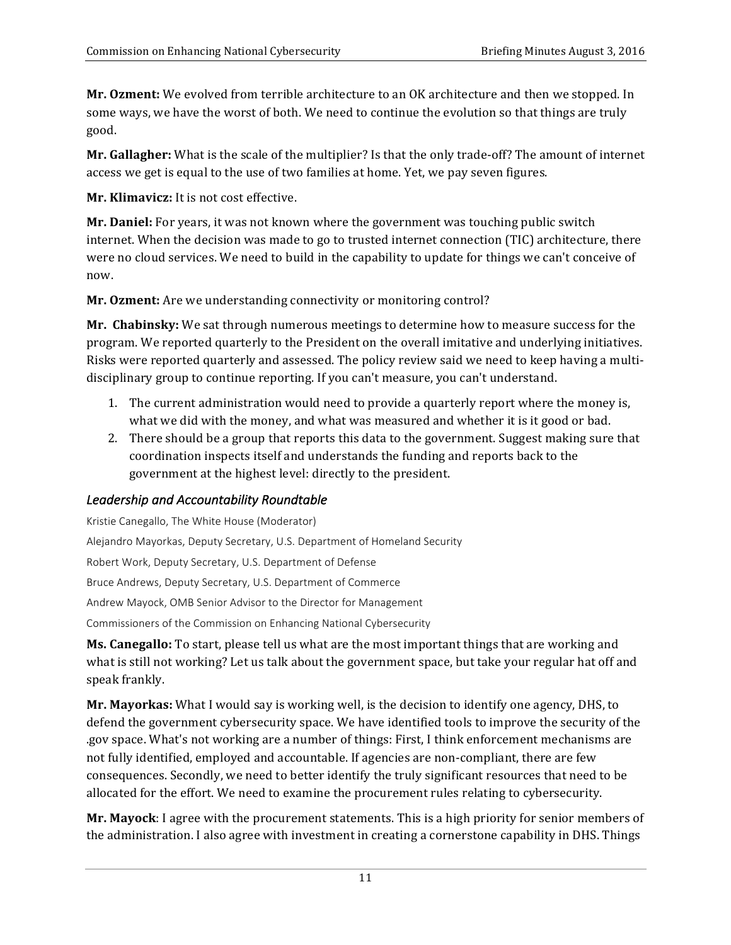**Mr. Ozment:** We evolved from terrible architecture to an OK architecture and then we stopped. In some ways, we have the worst of both. We need to continue the evolution so that things are truly good.

 **Mr. Gallagher:** What is the scale of the multiplier? Is that the only trade-off? The amount of internet access we get is equal to the use of two families at home. Yet, we pay seven figures.

**Mr. Klimavicz:** It is not cost effective.

**Mr. Daniel:** For years, it was not known where the government was touching public switch internet. When the decision was made to go to trusted internet connection (TIC) architecture, there were no cloud services. We need to build in the capability to update for things we can't conceive of now.

 **Mr. Ozment:** Are we understanding connectivity or monitoring control?

 **Mr. Chabinsky:** We sat through numerous meetings to determine how to measure success for the program. We reported quarterly to the President on the overall imitative and underlying initiatives. Risks were reported quarterly and assessed. The policy review said we need to keep having a multi- disciplinary group to continue reporting. If you can't measure, you can't understand.

- 1. The current administration would need to provide a quarterly report where the money is, what we did with the money, and what was measured and whether it is it good or bad.
- 2. There should be a group that reports this data to the government. Suggest making sure that coordination inspects itself and understands the funding and reports back to the government at the highest level: directly to the president.

## *Leadership and Accountability Roundtable*

 Alejandro Mayorkas, Deputy Secretary, U.S. Department of Homeland Security Robert Work, Deputy Secretary, U.S. Department of Defense Bruce Andrews, Deputy Secretary, U.S. Department of Commerce Andrew Mayock, OMB Senior Advisor to the Director for Management Commissioners of the Commission on Enhancing National Cybersecurity Kristie Canegallo, The White House (Moderator)

 **Ms. Canegallo:** To start, please tell us what are the most important things that are working and what is still not working? Let us talk about the government space, but take your regular hat off and speak frankly.

**Mr. Mayorkas:** What I would say is working well, is the decision to identify one agency, DHS, to defend the government cybersecurity space. We have identified tools to improve the security of the .gov space. What's not working are a number of things: First, I think enforcement mechanisms are not fully identified, employed and accountable. If agencies are non-compliant, there are few consequences. Secondly, we need to better identify the truly significant resources that need to be allocated for the effort. We need to examine the procurement rules relating to cybersecurity.

 **Mr. Mayock**: I agree with the procurement statements. This is a high priority for senior members of the administration. I also agree with investment in creating a cornerstone capability in DHS. Things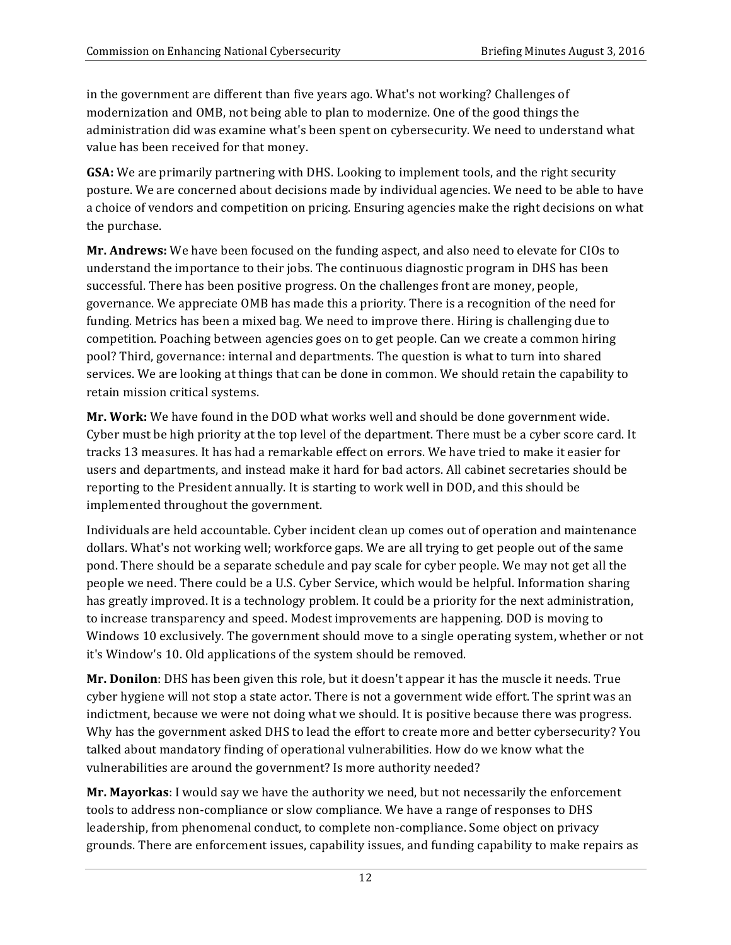in the government are different than five years ago. What's not working? Challenges of modernization and OMB, not being able to plan to modernize. One of the good things the administration did was examine what's been spent on cybersecurity. We need to understand what value has been received for that money.

GSA: We are primarily partnering with DHS. Looking to implement tools, and the right security posture. We are concerned about decisions made by individual agencies. We need to be able to have a choice of vendors and competition on pricing. Ensuring agencies make the right decisions on what the purchase.

Mr. Andrews: We have been focused on the funding aspect, and also need to elevate for CIOs to understand the importance to their jobs. The continuous diagnostic program in DHS has been successful. There has been positive progress. On the challenges front are money, people, governance. We appreciate OMB has made this a priority. There is a recognition of the need for funding. Metrics has been a mixed bag. We need to improve there. Hiring is challenging due to competition. Poaching between agencies goes on to get people. Can we create a common hiring pool? Third, governance: internal and departments. The question is what to turn into shared services. We are looking at things that can be done in common. We should retain the capability to retain mission critical systems.

**Mr. Work:** We have found in the DOD what works well and should be done government wide. Cyber must be high priority at the top level of the department. There must be a cyber score card. It tracks 13 measures. It has had a remarkable effect on errors. We have tried to make it easier for users and departments, and instead make it hard for bad actors. All cabinet secretaries should be reporting to the President annually. It is starting to work well in DOD, and this should be implemented throughout the government.

Individuals are held accountable. Cyber incident clean up comes out of operation and maintenance dollars. What's not working well; workforce gaps. We are all trying to get people out of the same pond. There should be a separate schedule and pay scale for cyber people. We may not get all the people we need. There could be a U.S. Cyber Service, which would be helpful. Information sharing has greatly improved. It is a technology problem. It could be a priority for the next administration, to increase transparency and speed. Modest improvements are happening. DOD is moving to Windows 10 exclusively. The government should move to a single operating system, whether or not it's Window's 10. Old applications of the system should be removed. 

 **Mr. Donilon**: DHS has been given this role, but it doesn't appear it has the muscle it needs. True cyber hygiene will not stop a state actor. There is not a government wide effort. The sprint was an indictment, because we were not doing what we should. It is positive because there was progress. Why has the government asked DHS to lead the effort to create more and better cybersecurity? You talked about mandatory finding of operational vulnerabilities. How do we know what the vulnerabilities are around the government? Is more authority needed?

**Mr. Mayorkas**: I would say we have the authority we need, but not necessarily the enforcement tools to address non-compliance or slow compliance. We have a range of responses to DHS leadership, from phenomenal conduct, to complete non-compliance. Some object on privacy grounds. There are enforcement issues, capability issues, and funding capability to make repairs as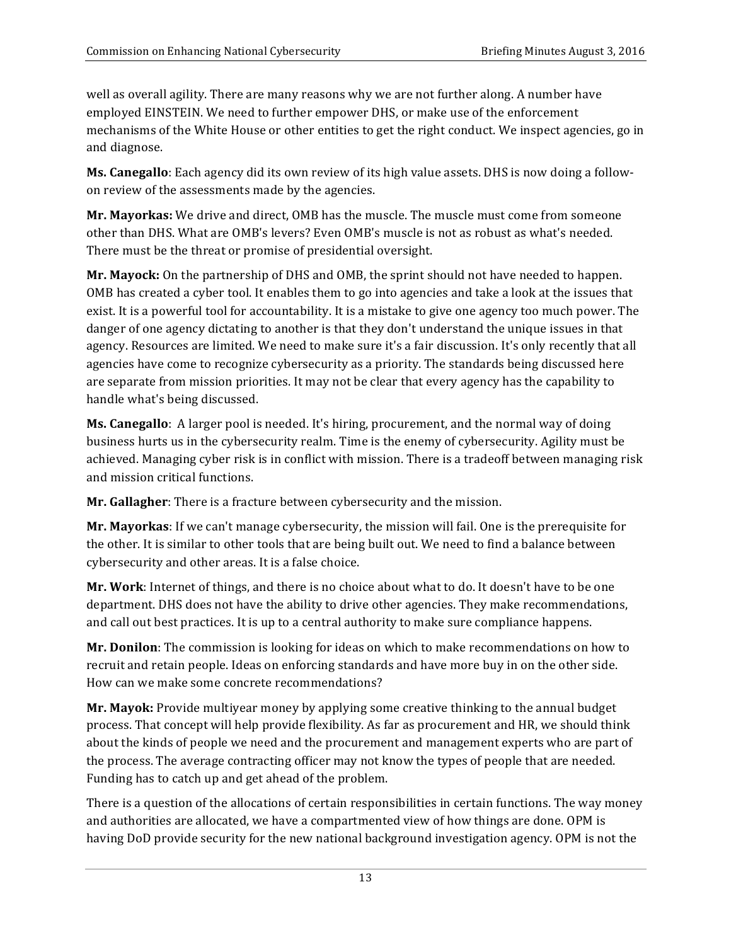well as overall agility. There are many reasons why we are not further along. A number have employed EINSTEIN. We need to further empower DHS, or make use of the enforcement mechanisms of the White House or other entities to get the right conduct. We inspect agencies, go in and diagnose.

**Ms. Canegallo**: Each agency did its own review of its high value assets. DHS is now doing a followon review of the assessments made by the agencies.

**Mr. Mayorkas:** We drive and direct, OMB has the muscle. The muscle must come from someone other than DHS. What are OMB's levers? Even OMB's muscle is not as robust as what's needed. There must be the threat or promise of presidential oversight.

**Mr. Mayock:** On the partnership of DHS and OMB, the sprint should not have needed to happen. OMB has created a cyber tool. It enables them to go into agencies and take a look at the issues that exist. It is a powerful tool for accountability. It is a mistake to give one agency too much power. The danger of one agency dictating to another is that they don't understand the unique issues in that agency. Resources are limited. We need to make sure it's a fair discussion. It's only recently that all agencies have come to recognize cybersecurity as a priority. The standards being discussed here are separate from mission priorities. It may not be clear that every agency has the capability to handle what's being discussed.

**Ms. Canegallo**: A larger pool is needed. It's hiring, procurement, and the normal way of doing business hurts us in the cybersecurity realm. Time is the enemy of cybersecurity. Agility must be achieved. Managing cyber risk is in conflict with mission. There is a tradeoff between managing risk and mission critical functions.

 **Mr. Gallagher**: There is a fracture between cybersecurity and the mission.

**Mr. Mayorkas**: If we can't manage cybersecurity, the mission will fail. One is the prerequisite for the other. It is similar to other tools that are being built out. We need to find a balance between cybersecurity and other areas. It is a false choice.

Mr. Work: Internet of things, and there is no choice about what to do. It doesn't have to be one department. DHS does not have the ability to drive other agencies. They make recommendations, and call out best practices. It is up to a central authority to make sure compliance happens.

Mr. Donilon: The commission is looking for ideas on which to make recommendations on how to recruit and retain people. Ideas on enforcing standards and have more buy in on the other side. How can we make some concrete recommendations?

 **Mr. Mayok:** Provide multiyear money by applying some creative thinking to the annual budget process. That concept will help provide flexibility. As far as procurement and HR, we should think about the kinds of people we need and the procurement and management experts who are part of the process. The average contracting officer may not know the types of people that are needed. Funding has to catch up and get ahead of the problem.

There is a question of the allocations of certain responsibilities in certain functions. The way money and authorities are allocated, we have a compartmented view of how things are done. OPM is having DoD provide security for the new national background investigation agency. OPM is not the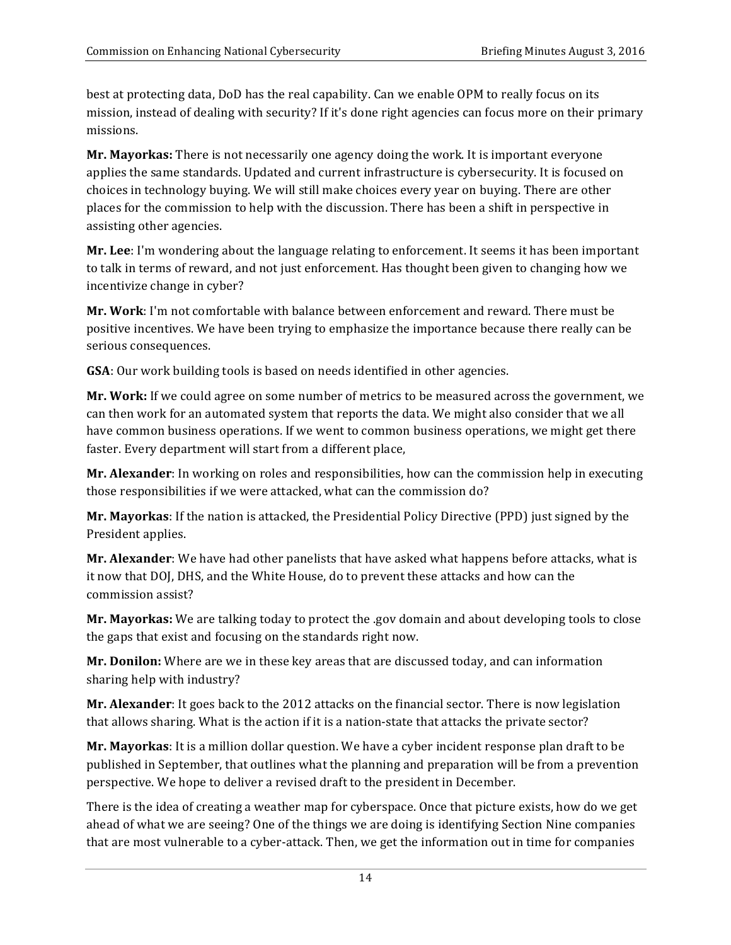best at protecting data, DoD has the real capability. Can we enable OPM to really focus on its mission, instead of dealing with security? If it's done right agencies can focus more on their primary missions.

**Mr. Mayorkas:** There is not necessarily one agency doing the work. It is important everyone applies the same standards. Updated and current infrastructure is cybersecurity. It is focused on choices in technology buying. We will still make choices every year on buying. There are other places for the commission to help with the discussion. There has been a shift in perspective in assisting other agencies.

**Mr. Lee**: I'm wondering about the language relating to enforcement. It seems it has been important to talk in terms of reward, and not just enforcement. Has thought been given to changing how we incentivize change in cyber?

**Mr. Work**: I'm not comfortable with balance between enforcement and reward. There must be positive incentives. We have been trying to emphasize the importance because there really can be serious consequences.

 **GSA**: Our work building tools is based on needs identified in other agencies.

**Mr. Work:** If we could agree on some number of metrics to be measured across the government, we can then work for an automated system that reports the data. We might also consider that we all have common business operations. If we went to common business operations, we might get there faster. Every department will start from a different place,

 **Mr. Alexander**: In working on roles and responsibilities, how can the commission help in executing those responsibilities if we were attacked, what can the commission do?

**Mr. Mayorkas**: If the nation is attacked, the Presidential Policy Directive (PPD) just signed by the President applies. 

**Mr. Alexander**: We have had other panelists that have asked what happens before attacks, what is it now that DOJ, DHS, and the White House, do to prevent these attacks and how can the commission assist?

 **Mr. Mayorkas:** We are talking today to protect the .gov domain and about developing tools to close the gaps that exist and focusing on the standards right now.

**Mr. Donilon:** Where are we in these key areas that are discussed today, and can information sharing help with industry?

**Mr. Alexander**: It goes back to the 2012 attacks on the financial sector. There is now legislation that allows sharing. What is the action if it is a nation-state that attacks the private sector?

**Mr. Mayorkas**: It is a million dollar question. We have a cyber incident response plan draft to be published in September, that outlines what the planning and preparation will be from a prevention perspective. We hope to deliver a revised draft to the president in December.

There is the idea of creating a weather map for cyberspace. Once that picture exists, how do we get ahead of what we are seeing? One of the things we are doing is identifying Section Nine companies that are most vulnerable to a cyber-attack. Then, we get the information out in time for companies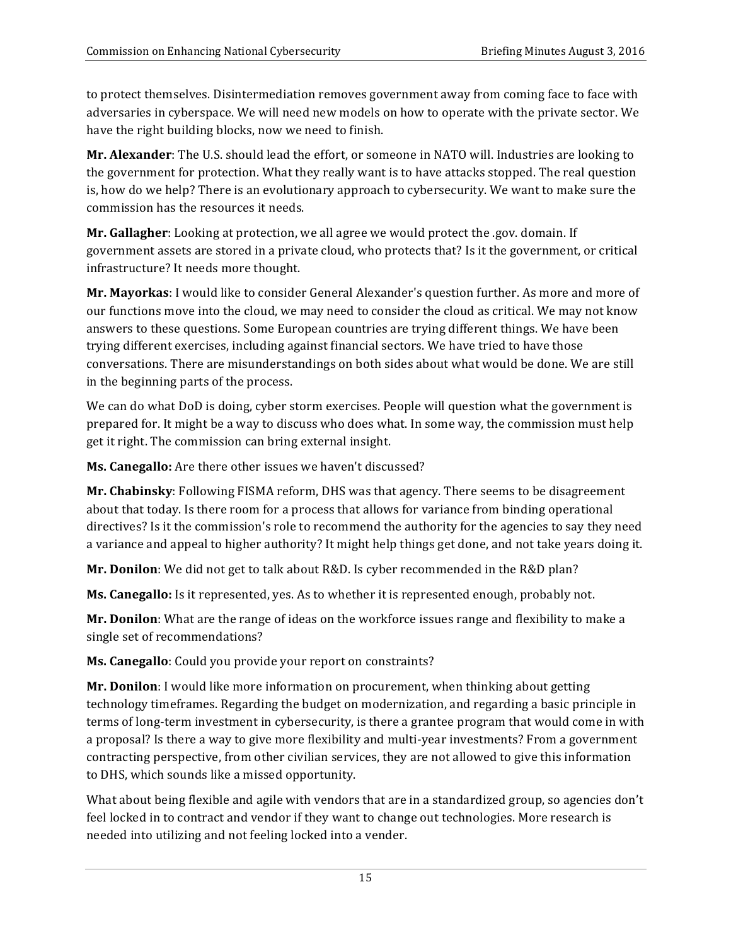to protect themselves. Disintermediation removes government away from coming face to face with adversaries in cyberspace. We will need new models on how to operate with the private sector. We have the right building blocks, now we need to finish.

Mr. Alexander: The U.S. should lead the effort, or someone in NATO will. Industries are looking to the government for protection. What they really want is to have attacks stopped. The real question is, how do we help? There is an evolutionary approach to cybersecurity. We want to make sure the commission has the resources it needs.

**Mr. Gallagher**: Looking at protection, we all agree we would protect the .gov. domain. If government assets are stored in a private cloud, who protects that? Is it the government, or critical infrastructure? It needs more thought.

Mr. Mayorkas: I would like to consider General Alexander's question further. As more and more of our functions move into the cloud, we may need to consider the cloud as critical. We may not know answers to these questions. Some European countries are trying different things. We have been trying different exercises, including against financial sectors. We have tried to have those conversations. There are misunderstandings on both sides about what would be done. We are still in the beginning parts of the process.

We can do what DoD is doing, cyber storm exercises. People will question what the government is prepared for. It might be a way to discuss who does what. In some way, the commission must help get it right. The commission can bring external insight.

Ms. Canegallo: Are there other issues we haven't discussed?

**Mr. Chabinsky**: Following FISMA reform, DHS was that agency. There seems to be disagreement about that today. Is there room for a process that allows for variance from binding operational directives? Is it the commission's role to recommend the authority for the agencies to say they need a variance and appeal to higher authority? It might help things get done, and not take years doing it.

 **Mr. Donilon**: We did not get to talk about R&D. Is cyber recommended in the R&D plan?

**Ms. Canegallo:** Is it represented, yes. As to whether it is represented enough, probably not.

 **Mr. Donilon**: What are the range of ideas on the workforce issues range and flexibility to make a single set of recommendations?

 **Ms. Canegallo**: Could you provide your report on constraints?

**Mr. Donilon**: I would like more information on procurement, when thinking about getting technology timeframes. Regarding the budget on modernization, and regarding a basic principle in terms of long-term investment in cybersecurity, is there a grantee program that would come in with a proposal? Is there a way to give more flexibility and multi-year investments? From a government contracting perspective, from other civilian services, they are not allowed to give this information to DHS, which sounds like a missed opportunity.

What about being flexible and agile with vendors that are in a standardized group, so agencies don't feel locked in to contract and vendor if they want to change out technologies. More research is needed into utilizing and not feeling locked into a vender.